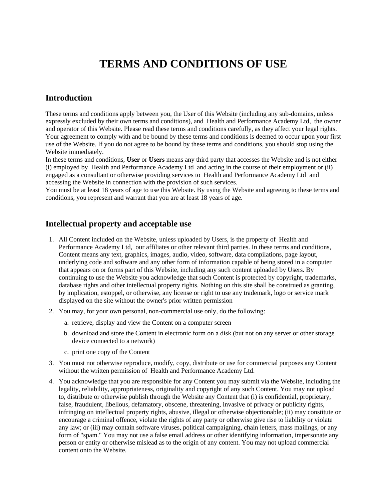# **TERMS AND CONDITIONS OF USE**

#### **Introduction**

These terms and conditions apply between you, the User of this Website (including any sub-domains, unless expressly excluded by their own terms and conditions), and Health and Performance Academy Ltd, the owner and operator of this Website. Please read these terms and conditions carefully, as they affect your legal rights. Your agreement to comply with and be bound by these terms and conditions is deemed to occur upon your first use of the Website. If you do not agree to be bound by these terms and conditions, you should stop using the Website immediately.

In these terms and conditions, **User** or **Users** means any third party that accesses the Website and is not either (i) employed by Health and Performance Academy Ltd and acting in the course of their employment or (ii) engaged as a consultant or otherwise providing services to Health and Performance Academy Ltd and accessing the Website in connection with the provision of such services.

You must be at least 18 years of age to use this Website. By using the Website and agreeing to these terms and conditions, you represent and warrant that you are at least 18 years of age.

#### **Intellectual property and acceptable use**

- 1. All Content included on the Website, unless uploaded by Users, is the property of Health and Performance Academy Ltd, our affiliates or other relevant third parties. In these terms and conditions, Content means any text, graphics, images, audio, video, software, data compilations, page layout, underlying code and software and any other form of information capable of being stored in a computer that appears on or forms part of this Website, including any such content uploaded by Users. By continuing to use the Website you acknowledge that such Content is protected by copyright, trademarks, database rights and other intellectual property rights. Nothing on this site shall be construed as granting, by implication, estoppel, or otherwise, any license or right to use any trademark, logo or service mark displayed on the site without the owner's prior written permission
- 2. You may, for your own personal, non-commercial use only, do the following:
	- a. retrieve, display and view the Content on a computer screen
	- b. download and store the Content in electronic form on a disk (but not on any server or other storage device connected to a network)
	- c. print one copy of the Content
- 3. You must not otherwise reproduce, modify, copy, distribute or use for commercial purposes any Content without the written permission of Health and Performance Academy Ltd.
- 4. You acknowledge that you are responsible for any Content you may submit via the Website, including the legality, reliability, appropriateness, originality and copyright of any such Content. You may not upload to, distribute or otherwise publish through the Website any Content that (i) is confidential, proprietary, false, fraudulent, libellous, defamatory, obscene, threatening, invasive of privacy or publicity rights, infringing on intellectual property rights, abusive, illegal or otherwise objectionable; (ii) may constitute or encourage a criminal offence, violate the rights of any party or otherwise give rise to liability or violate any law; or (iii) may contain software viruses, political campaigning, chain letters, mass mailings, or any form of "spam." You may not use a false email address or other identifying information, impersonate any person or entity or otherwise mislead as to the origin of any content. You may not upload commercial content onto the Website.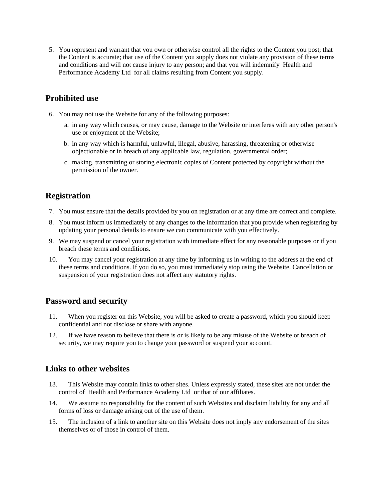5. You represent and warrant that you own or otherwise control all the rights to the Content you post; that the Content is accurate; that use of the Content you supply does not violate any provision of these terms and conditions and will not cause injury to any person; and that you will indemnify Health and Performance Academy Ltd for all claims resulting from Content you supply.

## **Prohibited use**

- 6. You may not use the Website for any of the following purposes:
	- a. in any way which causes, or may cause, damage to the Website or interferes with any other person's use or enjoyment of the Website;
	- b. in any way which is harmful, unlawful, illegal, abusive, harassing, threatening or otherwise objectionable or in breach of any applicable law, regulation, governmental order;
	- c. making, transmitting or storing electronic copies of Content protected by copyright without the permission of the owner.

# **Registration**

- 7. You must ensure that the details provided by you on registration or at any time are correct and complete.
- 8. You must inform us immediately of any changes to the information that you provide when registering by updating your personal details to ensure we can communicate with you effectively.
- 9. We may suspend or cancel your registration with immediate effect for any reasonable purposes or if you breach these terms and conditions.
- 10. You may cancel your registration at any time by informing us in writing to the address at the end of these terms and conditions. If you do so, you must immediately stop using the Website. Cancellation or suspension of your registration does not affect any statutory rights.

### **Password and security**

- 11. When you register on this Website, you will be asked to create a password, which you should keep confidential and not disclose or share with anyone.
- 12. If we have reason to believe that there is or is likely to be any misuse of the Website or breach of security, we may require you to change your password or suspend your account.

### **Links to other websites**

- 13. This Website may contain links to other sites. Unless expressly stated, these sites are not under the control of Health and Performance Academy Ltd or that of our affiliates.
- 14. We assume no responsibility for the content of such Websites and disclaim liability for any and all forms of loss or damage arising out of the use of them.
- 15. The inclusion of a link to another site on this Website does not imply any endorsement of the sites themselves or of those in control of them.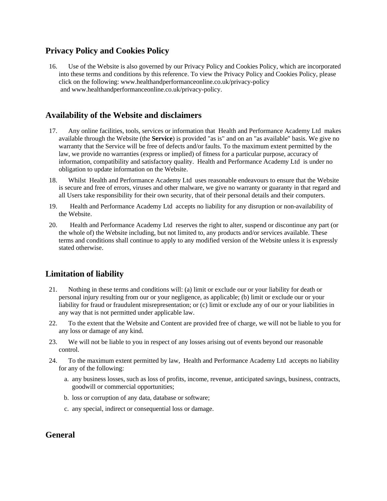#### **Privacy Policy and Cookies Policy**

16. Use of the Website is also governed by our Privacy Policy and Cookies Policy, which are incorporated into these terms and conditions by this reference. To view the Privacy Policy and Cookies Policy, please click on the following: www.healthandperformanceonline.co.uk/privacy-policy and www.healthandperformanceonline.co.uk/privacy-policy.

### **Availability of the Website and disclaimers**

- 17. Any online facilities, tools, services or information that Health and Performance Academy Ltd makes available through the Website (the **Service**) is provided "as is" and on an "as available" basis. We give no warranty that the Service will be free of defects and/or faults. To the maximum extent permitted by the law, we provide no warranties (express or implied) of fitness for a particular purpose, accuracy of information, compatibility and satisfactory quality. Health and Performance Academy Ltd is under no obligation to update information on the Website.
- 18. Whilst Health and Performance Academy Ltd uses reasonable endeavours to ensure that the Website is secure and free of errors, viruses and other malware, we give no warranty or guaranty in that regard and all Users take responsibility for their own security, that of their personal details and their computers.
- 19. Health and Performance Academy Ltd accepts no liability for any disruption or non-availability of the Website.
- 20. Health and Performance Academy Ltd reserves the right to alter, suspend or discontinue any part (or the whole of) the Website including, but not limited to, any products and/or services available. These terms and conditions shall continue to apply to any modified version of the Website unless it is expressly stated otherwise.

# **Limitation of liability**

- 21. Nothing in these terms and conditions will: (a) limit or exclude our or your liability for death or personal injury resulting from our or your negligence, as applicable; (b) limit or exclude our or your liability for fraud or fraudulent misrepresentation; or (c) limit or exclude any of our or your liabilities in any way that is not permitted under applicable law.
- 22. To the extent that the Website and Content are provided free of charge, we will not be liable to you for any loss or damage of any kind.
- 23. We will not be liable to you in respect of any losses arising out of events beyond our reasonable control.
- 24. To the maximum extent permitted by law, Health and Performance Academy Ltd accepts no liability for any of the following:
	- a. any business losses, such as loss of profits, income, revenue, anticipated savings, business, contracts, goodwill or commercial opportunities;
	- b. loss or corruption of any data, database or software;
	- c. any special, indirect or consequential loss or damage.

#### **General**